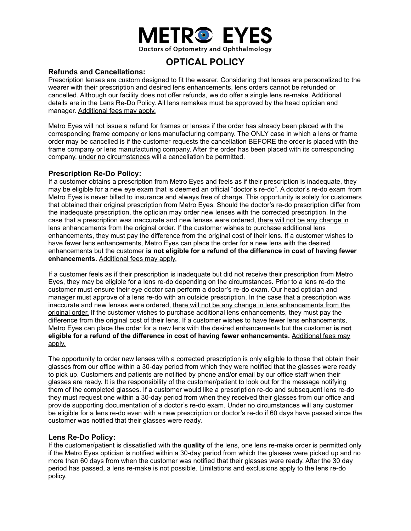

# **OPTICAL POLICY**

## **Refunds and Cancellations:**

Prescription lenses are custom designed to fit the wearer. Considering that lenses are personalized to the wearer with their prescription and desired lens enhancements, lens orders cannot be refunded or cancelled. Although our facility does not offer refunds, we do offer a single lens re-make. Additional details are in the Lens Re-Do Policy. All lens remakes must be approved by the head optician and manager. Additional fees may apply.

Metro Eyes will not issue a refund for frames or lenses if the order has already been placed with the corresponding frame company or lens manufacturing company. The ONLY case in which a lens or frame order may be cancelled is if the customer requests the cancellation BEFORE the order is placed with the frame company or lens manufacturing company. After the order has been placed with its corresponding company, under no circumstances will a cancellation be permitted.

# **Prescription Re-Do Policy:**

If a customer obtains a prescription from Metro Eyes and feels as if their prescription is inadequate, they may be eligible for a new eye exam that is deemed an official "doctor's re-do". A doctor's re-do exam from Metro Eyes is never billed to insurance and always free of charge. This opportunity is solely for customers that obtained their original prescription from Metro Eyes. Should the doctor's re-do prescription differ from the inadequate prescription, the optician may order new lenses with the corrected prescription. In the case that a prescription was inaccurate and new lenses were ordered, there will not be any change in lens enhancements from the original order. If the customer wishes to purchase additional lens enhancements, they must pay the difference from the original cost of their lens. If a customer wishes to have fewer lens enhancements, Metro Eyes can place the order for a new lens with the desired enhancements but the customer **is not eligible for a refund of the difference in cost of having fewer enhancements.** Additional fees may apply.

If a customer feels as if their prescription is inadequate but did not receive their prescription from Metro Eyes, they may be eligible for a lens re-do depending on the circumstances. Prior to a lens re-do the customer must ensure their eye doctor can perform a doctor's re-do exam. Our head optician and manager must approve of a lens re-do with an outside prescription. In the case that a prescription was inaccurate and new lenses were ordered, there will not be any change in lens enhancements from the original order. If the customer wishes to purchase additional lens enhancements, they must pay the difference from the original cost of their lens. If a customer wishes to have fewer lens enhancements, Metro Eyes can place the order for a new lens with the desired enhancements but the customer **is not eligible for a refund of the difference in cost of having fewer enhancements.** Additional fees may apply.

The opportunity to order new lenses with a corrected prescription is only eligible to those that obtain their glasses from our office within a 30-day period from which they were notified that the glasses were ready to pick up. Customers and patients are notified by phone and/or email by our office staff when their glasses are ready. It is the responsibility of the customer/patient to look out for the message notifying them of the completed glasses. If a customer would like a prescription re-do and subsequent lens re-do they must request one within a 30-day period from when they received their glasses from our office and provide supporting documentation of a doctor's re-do exam. Under no circumstances will any customer be eligible for a lens re-do even with a new prescription or doctor's re-do if 60 days have passed since the customer was notified that their glasses were ready.

# **Lens Re-Do Policy:**

If the customer/patient is dissatisfied with the **quality** of the lens, one lens re-make order is permitted only if the Metro Eyes optician is notified within a 30-day period from which the glasses were picked up and no more than 60 days from when the customer was notified that their glasses were ready. After the 30 day period has passed, a lens re-make is not possible. Limitations and exclusions apply to the lens re-do policy.